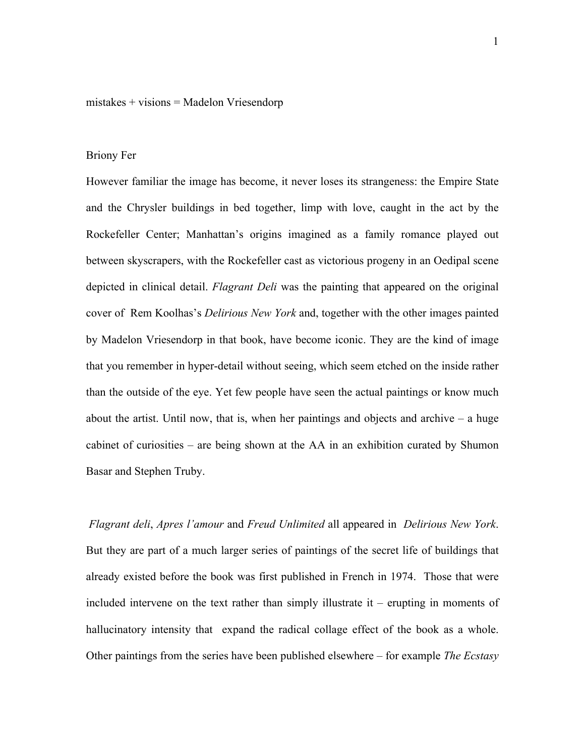## $mistakes + visions = Madelon Vriesendorp$

## Briony Fer

However familiar the image has become, it never loses its strangeness: the Empire State and the Chrysler buildings in bed together, limp with love, caught in the act by the Rockefeller Center; Manhattan's origins imagined as a family romance played out between skyscrapers, with the Rockefeller cast as victorious progeny in an Oedipal scene depicted in clinical detail. *Flagrant Deli* was the painting that appeared on the original cover of Rem Koolhas's *Delirious New York* and, together with the other images painted by Madelon Vriesendorp in that book, have become iconic. They are the kind of image that you remember in hyper-detail without seeing, which seem etched on the inside rather than the outside of the eye. Yet few people have seen the actual paintings or know much about the artist. Until now, that is, when her paintings and objects and archive – a huge cabinet of curiosities – are being shown at the AA in an exhibition curated by Shumon Basar and Stephen Truby.

*Flagrant deli*, *Apres l'amour* and *Freud Unlimited* all appeared in *Delirious New York*. But they are part of a much larger series of paintings of the secret life of buildings that already existed before the book was first published in French in 1974. Those that were included intervene on the text rather than simply illustrate it – erupting in moments of hallucinatory intensity that expand the radical collage effect of the book as a whole. Other paintings from the series have been published elsewhere – for example *The Ecstasy*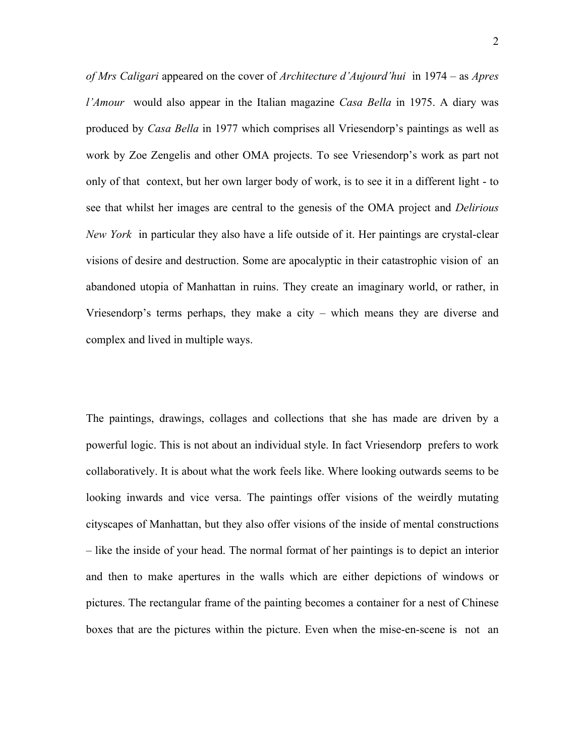*of Mrs Caligari* appeared on the cover of *Architecture d'Aujourd'hui* in 1974 – as *Apres l'Amour* would also appear in the Italian magazine *Casa Bella* in 1975. A diary was produced by *Casa Bella* in 1977 which comprises all Vriesendorp's paintings as well as work by Zoe Zengelis and other OMA projects. To see Vriesendorp's work as part not only of that context, but her own larger body of work, is to see it in a different light - to see that whilst her images are central to the genesis of the OMA project and *Delirious New York* in particular they also have a life outside of it. Her paintings are crystal-clear visions of desire and destruction. Some are apocalyptic in their catastrophic vision of an abandoned utopia of Manhattan in ruins. They create an imaginary world, or rather, in Vriesendorp's terms perhaps, they make a city – which means they are diverse and complex and lived in multiple ways.

The paintings, drawings, collages and collections that she has made are driven by a powerful logic. This is not about an individual style. In fact Vriesendorp prefers to work collaboratively. It is about what the work feels like. Where looking outwards seems to be looking inwards and vice versa. The paintings offer visions of the weirdly mutating cityscapes of Manhattan, but they also offer visions of the inside of mental constructions – like the inside of your head. The normal format of her paintings is to depict an interior and then to make apertures in the walls which are either depictions of windows or pictures. The rectangular frame of the painting becomes a container for a nest of Chinese boxes that are the pictures within the picture. Even when the mise-en-scene is not an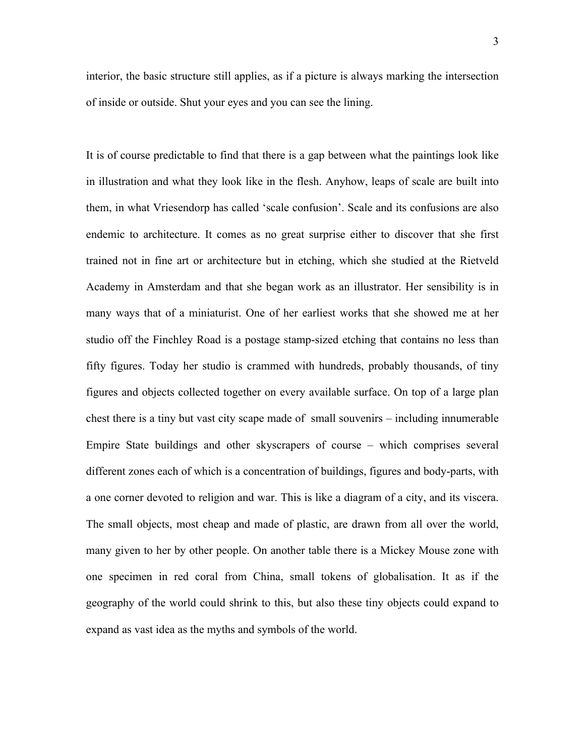interior, the basic structure still applies, as if a picture is always marking the intersection of inside or outside. Shut your eyes and you can see the lining.

It is of course predictable to find that there is a gap between what the paintings look like in illustration and what they look like in the flesh. Anyhow, leaps of scale are built into them, in what Vriesendorp has called 'scale confusion'. Scale and its confusions are also endemic to architecture. It comes as no great surprise either to discover that she first trained not in fine art or architecture but in etching, which she studied at the Rietveld Academy in Amsterdam and that she began work as an illustrator. Her sensibility is in many ways that of a miniaturist. One of her earliest works that she showed me at her studio off the Finchley Road is a postage stamp-sized etching that contains no less than fifty figures. Today her studio is crammed with hundreds, probably thousands, of tiny figures and objects collected together on every available surface. On top of a large plan chest there is a tiny but vast city scape made of small souvenirs – including innumerable Empire State buildings and other skyscrapers of course – which comprises several different zones each of which is a concentration of buildings, figures and body-parts, with a one corner devoted to religion and war. This is like a diagram of a city, and its viscera. The small objects, most cheap and made of plastic, are drawn from all over the world, many given to her by other people. On another table there is a Mickey Mouse zone with one specimen in red coral from China, small tokens of globalisation. It as if the geography of the world could shrink to this, but also these tiny objects could expand to expand as vast idea as the myths and symbols of the world.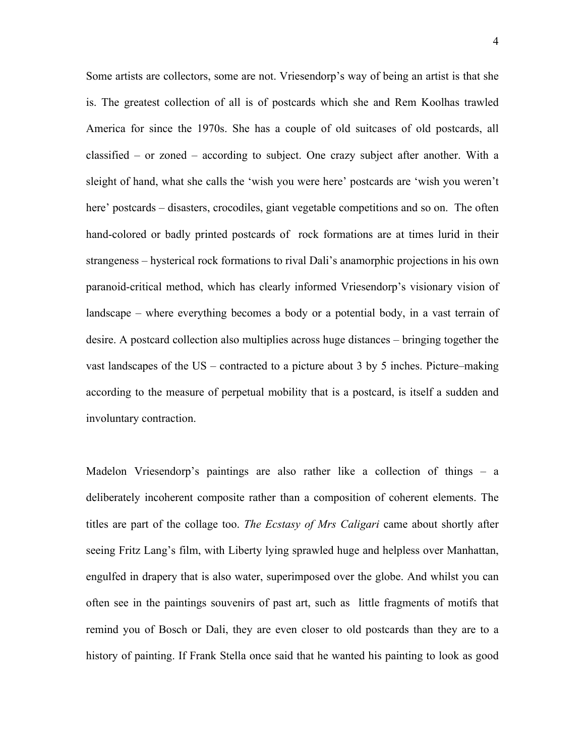Some artists are collectors, some are not. Vriesendorp's way of being an artist is that she is. The greatest collection of all is of postcards which she and Rem Koolhas trawled America for since the 1970s. She has a couple of old suitcases of old postcards, all classified – or zoned – according to subject. One crazy subject after another. With a sleight of hand, what she calls the 'wish you were here' postcards are 'wish you weren't here' postcards – disasters, crocodiles, giant vegetable competitions and so on. The often hand-colored or badly printed postcards of rock formations are at times lurid in their strangeness – hysterical rock formations to rival Dali's anamorphic projections in his own paranoid-critical method, which has clearly informed Vriesendorp's visionary vision of landscape – where everything becomes a body or a potential body, in a vast terrain of desire. A postcard collection also multiplies across huge distances – bringing together the vast landscapes of the US – contracted to a picture about 3 by 5 inches. Picture–making according to the measure of perpetual mobility that is a postcard, is itself a sudden and involuntary contraction.

Madelon Vriesendorp's paintings are also rather like a collection of things – a deliberately incoherent composite rather than a composition of coherent elements. The titles are part of the collage too. *The Ecstasy of Mrs Caligari* came about shortly after seeing Fritz Lang's film, with Liberty lying sprawled huge and helpless over Manhattan, engulfed in drapery that is also water, superimposed over the globe. And whilst you can often see in the paintings souvenirs of past art, such as little fragments of motifs that remind you of Bosch or Dali, they are even closer to old postcards than they are to a history of painting. If Frank Stella once said that he wanted his painting to look as good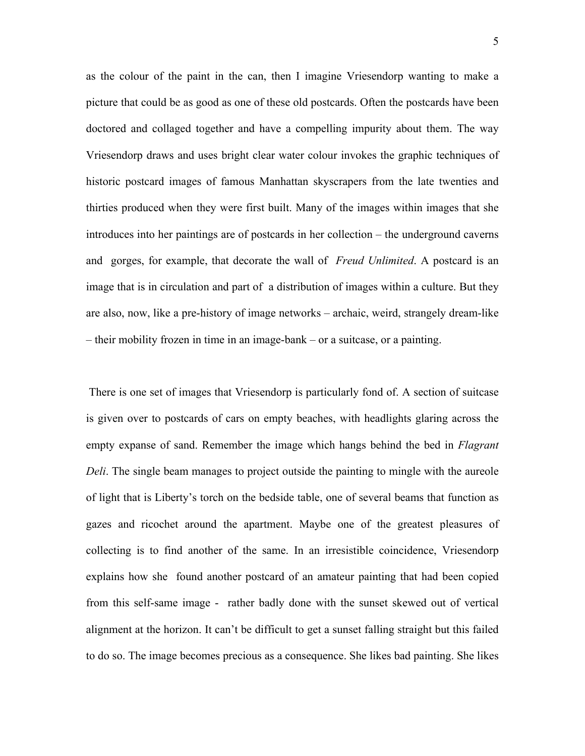as the colour of the paint in the can, then I imagine Vriesendorp wanting to make a picture that could be as good as one of these old postcards. Often the postcards have been doctored and collaged together and have a compelling impurity about them. The way Vriesendorp draws and uses bright clear water colour invokes the graphic techniques of historic postcard images of famous Manhattan skyscrapers from the late twenties and thirties produced when they were first built. Many of the images within images that she introduces into her paintings are of postcards in her collection – the underground caverns and gorges, for example, that decorate the wall of *Freud Unlimited*. A postcard is an image that is in circulation and part of a distribution of images within a culture. But they are also, now, like a pre-history of image networks – archaic, weird, strangely dream-like – their mobility frozen in time in an image-bank – or a suitcase, or a painting.

There is one set of images that Vriesendorp is particularly fond of. A section of suitcase is given over to postcards of cars on empty beaches, with headlights glaring across the empty expanse of sand. Remember the image which hangs behind the bed in *Flagrant Deli*. The single beam manages to project outside the painting to mingle with the aureole of light that is Liberty's torch on the bedside table, one of several beams that function as gazes and ricochet around the apartment. Maybe one of the greatest pleasures of collecting is to find another of the same. In an irresistible coincidence, Vriesendorp explains how she found another postcard of an amateur painting that had been copied from this self-same image - rather badly done with the sunset skewed out of vertical alignment at the horizon. It can't be difficult to get a sunset falling straight but this failed to do so. The image becomes precious as a consequence. She likes bad painting. She likes